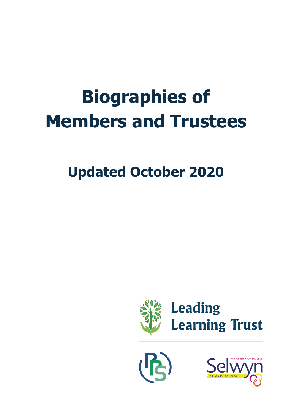# **Biographies of Members and Trustees**

# **Updated October 2020**





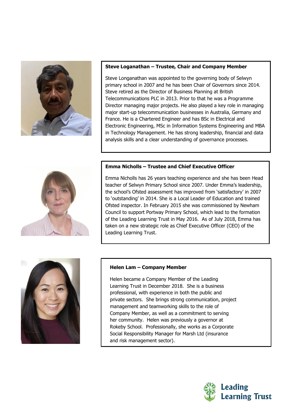

# **Steve Loganathan – Trustee, Chair and Company Member**

Steve Longanathan was appointed to the governing body of Selwyn primary school in 2007 and he has been Chair of Governors since 2014. Steve retired as the Director of Business Planning at British Telecommunications PLC in 2013. Prior to that he was a Programme Director managing major projects. He also played a key role in managing major start-up telecommunication businesses in Australia, Germany and France. He is a Chartered Engineer and has BSc in Electrical and Electronic Engineering, MSc in Information Systems Engineering and MBA in Technology Management. He has strong leadership, financial and data analysis skills and a clear understanding of governance processes.



# **Emma Nicholls – Trustee and Chief Executive Officer**

Emma Nicholls has 26 years teaching experience and she has been Head teacher of Selwyn Primary School since 2007. Under Emma's leadership, the school's Ofsted assessment has improved from 'satisfactory' in 2007 to 'outstanding' in 2014. She is a Local Leader of Education and trained Ofsted inspector. In February 2015 she was commissioned by Newham Council to support Portway Primary School, which lead to the formation of the Leading Learning Trust in May 2016. As of July 2018, Emma has taken on a new strategic role as Chief Executive Officer (CEO) of the Leading Learning Trust.



#### **Helen Lam – Company Member**

Helen became a Company Member of the Leading Learning Trust in December 2018. She is a business professional, with experience in both the public and private sectors. She brings strong communication, project management and teamworking skills to the role of Company Member, as well as a commitment to serving her community. Helen was previously a governor at Rokeby School. Professionally, she works as a Corporate Social Responsibility Manager for Marsh Ltd (insurance and risk management sector).

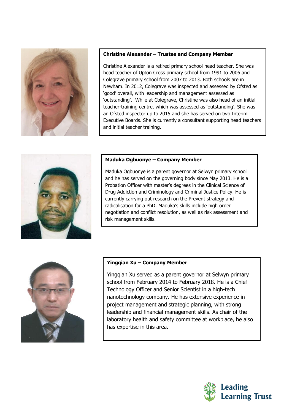

# **Christine Alexander – Trustee and Company Member**

Christine Alexander is a retired primary school head teacher. She was head teacher of Upton Cross primary school from 1991 to 2006 and Colegrave primary school from 2007 to 2013. Both schools are in Newham. In 2012, Colegrave was inspected and assessed by Ofsted as 'good' overall, with leadership and management assessed as 'outstanding'. While at Colegrave, Christine was also head of an initial teacher-training centre, which was assessed as 'outstanding'. She was an Ofsted inspector up to 2015 and she has served on two Interim Executive Boards. She is currently a consultant supporting head teachers and initial teacher training.



# **Maduka Ogbuonye – Company Member**

Maduka Ogbuonye is a parent governor at Selwyn primary school and he has served on the governing body since May 2013. He is a Probation Officer with master's degrees in the Clinical Science of Drug Addiction and Criminology and Criminal Justice Policy. He is currently carrying out research on the Prevent strategy and radicalisation for a PhD. Maduka's skills include high order negotiation and conflict resolution, as well as risk assessment and risk management skills.



# **Yingqian Xu – Company Member**

Yingqian Xu served as a parent governor at Selwyn primary school from February 2014 to February 2018. He is a Chief Technology Officer and Senior Scientist in a high-tech nanotechnology company. He has extensive experience in project management and strategic planning, with strong leadership and financial management skills. As chair of the laboratory health and safety committee at workplace, he also has expertise in this area.

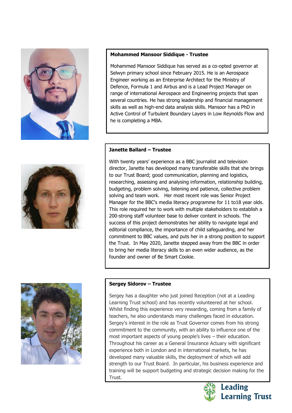

# **Mohammed Mansoor Siddique - Trustee**

Mohammed Mansoor Siddique has served as a co-opted governor at Selwyn primary school since February 2015. He is an Aerospace Engineer working as an Enterprise Architect for the Ministry of Defence, Formula 1 and Airbus and is a Lead Project Manager on range of international Aerospace and Engineering projects that span several countries. He has strong leadership and financial management skills as well as high-end data analysis skills. Mansoor has a PhD in Active Control of Turbulent Boundary Layers in Low Reynolds Flow and he is completing a MBA.

# **Janette Ballard – Trustee**

With twenty years' experience as a BBC journalist and television director, Janette has developed many transferable skills that she brings to our Trust Board; good communication, planning and logistics, researching, assessing and analysing information, relationship building, budgeting, problem solving, listening and patience, collective problem solving and team work. Her most recent role was Senior Project Manager for the BBC's media literacy programme for 11 to18 year olds. This role required her to work with multiple stakeholders to establish a 200-strong staff volunteer base to deliver content in schools. The success of this project demonstrates her ability to navigate legal and editorial compliance, the importance of child safeguarding, and her commitment to BBC values, and puts her in a strong position to support the Trust. In May 2020, Janette stepped away from the BBC in order to bring her media literacy skills to an even wider audience, as the founder and owner of Be Smart Cookie.



# **Sergey Sidorov – Trustee**

Sergey has a daughter who just joined Reception (not at a Leading Learning Trust school) and has recently volunteered at her school. Whilst finding this experience very rewarding, coming from a family of teachers, he also understands many challenges faced in education. Sergey's interest in the role as Trust Governor comes from his strong commitment to the community, with an ability to influence one of the most important aspects of young people's lives – their education. Throughout his career as a General Insurance Actuary with significant experience both in London and in international markets, he has developed many valuable skills, the deployment of which will add strength to our Trust Board. In particular, his business experience and training will be support budgeting and strategic decision making for the Trust.